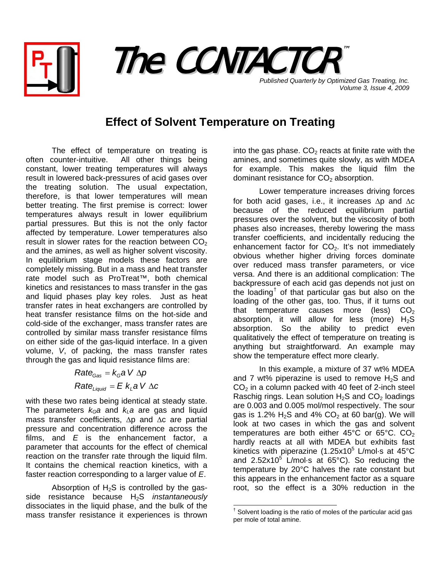



*Volume 3, Issue 4, 2009*

## **Effect of Solvent Temperature on Treating**

The effect of temperature on treating is often counter-intuitive. All other things being constant, lower treating temperatures will always result in lowered back-pressures of acid gases over the treating solution. The usual expectation, therefore, is that lower temperatures will mean better treating. The first premise is correct: lower temperatures always result in lower equilibrium partial pressures. But this is not the only factor affected by temperature. Lower temperatures also result in slower rates for the reaction between  $CO<sub>2</sub>$ and the amines, as well as higher solvent viscosity. In equilibrium stage models these factors are completely missing. But in a mass and heat transfer rate model such as ProTreat™, both chemical kinetics and resistances to mass transfer in the gas and liquid phases play key roles. Just as heat transfer rates in heat exchangers are controlled by heat transfer resistance films on the hot-side and cold-side of the exchanger, mass transfer rates are controlled by similar mass transfer resistance films on either side of the gas-liquid interface. In a given volume, *V*, of packing, the mass transfer rates through the gas and liquid resistance films are:

> $Rate_{Liquid} = E k_{L} a V \Delta C$  $Rate_{Gas} = k_Ga$  V  $\Delta p$

with these two rates being identical at steady state. The parameters  $k_Ga$  and  $k_La$  are gas and liquid mass transfer coefficients, Δp and Δc are partial pressure and concentration difference across the films, and *E* is the enhancement factor, a parameter that accounts for the effect of chemical reaction on the transfer rate through the liquid film. It contains the chemical reaction kinetics, with a faster reaction corresponding to a larger value of *E*.

<span id="page-0-0"></span>Absorption of  $H_2S$  is controlled by the gasside resistance because H2S *instantaneously* dissociates in the liquid phase, and the bulk of the mass transfer resistance it experiences is thrown

into the gas phase.  $CO<sub>2</sub>$  reacts at finite rate with the amines, and sometimes quite slowly, as with MDEA for example. This makes the liquid film the dominant resistance for  $CO<sub>2</sub>$  absorption.

Lower temperature increases driving forces for both acid gases, i.e., it increases Δp and Δc because of the reduced equilibrium partial pressures over the solvent, but the viscosity of both phases also increases, thereby lowering the mass transfer coefficients, and incidentally reducing the enhancement factor for  $CO<sub>2</sub>$ . It's not immediately obvious whether higher driving forces dominate over reduced mass transfer parameters, or vice versa. And there is an additional complication: The backpressure of each acid gas depends not just on the loading<sup>[†](#page-0-0)</sup> of that particular gas but also on the loading of the other gas, too. Thus, if it turns out that temperature causes more (less)  $CO<sub>2</sub>$ absorption, it will allow for less (more)  $H_2S$ absorption. So the ability to predict even qualitatively the effect of temperature on treating is anything but straightforward. An example may show the temperature effect more clearly.

In this example, a mixture of 37 wt% MDEA and 7 wt% piperazine is used to remove  $H_2S$  and  $CO<sub>2</sub>$  in a column packed with 40 feet of 2-inch steel Raschig rings. Lean solution  $H_2S$  and  $CO_2$  loadings are 0.003 and 0.005 mol/mol respectively. The sour gas is 1.2%  $H_2S$  and 4%  $CO_2$  at 60 bar(g). We will look at two cases in which the gas and solvent temperatures are both either  $45^{\circ}$ C or  $65^{\circ}$ C. CO<sub>2</sub> hardly reacts at all with MDEA but exhibits fast kinetics with piperazine (1.25x10 $^5$  L/mol $\cdot$ s at 45 $^{\circ}$ C and 2.52x10<sup>5</sup> L/mol $\cdot$ s at 65°C). So reducing the temperature by 20°C halves the rate constant but this appears in the enhancement factor as a square root, so the effect is a 30% reduction in the

 † Solvent loading is the ratio of moles of the particular acid gas per mole of total amine.